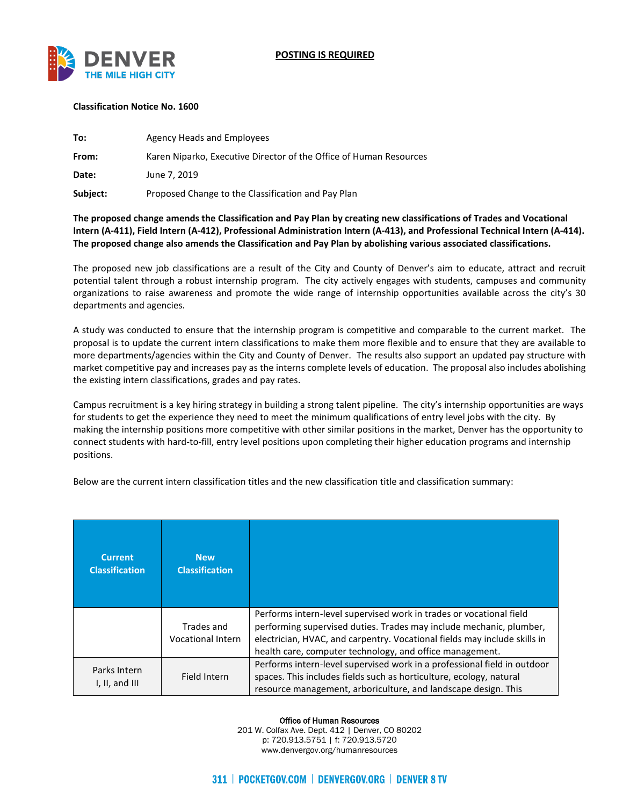

## **Classification Notice No. 1600**

| To:      | Agency Heads and Employees                                         |
|----------|--------------------------------------------------------------------|
| From:    | Karen Niparko, Executive Director of the Office of Human Resources |
| Date:    | June 7, 2019                                                       |
| Subject: | Proposed Change to the Classification and Pay Plan                 |

**The proposed change amends the Classification and Pay Plan by creating new classifications of Trades and Vocational Intern (A-411), Field Intern (A-412), Professional Administration Intern (A-413), and Professional Technical Intern (A-414). The proposed change also amends the Classification and Pay Plan by abolishing various associated classifications.** 

The proposed new job classifications are a result of the City and County of Denver's aim to educate, attract and recruit potential talent through a robust internship program. The city actively engages with students, campuses and community organizations to raise awareness and promote the wide range of internship opportunities available across the city's 30 departments and agencies.

A study was conducted to ensure that the internship program is competitive and comparable to the current market. The proposal is to update the current intern classifications to make them more flexible and to ensure that they are available to more departments/agencies within the City and County of Denver. The results also support an updated pay structure with market competitive pay and increases pay as the interns complete levels of education. The proposal also includes abolishing the existing intern classifications, grades and pay rates.

Campus recruitment is a key hiring strategy in building a strong talent pipeline. The city's internship opportunities are ways for students to get the experience they need to meet the minimum qualifications of entry level jobs with the city. By making the internship positions more competitive with other similar positions in the market, Denver has the opportunity to connect students with hard-to-fill, entry level positions upon completing their higher education programs and internship positions.

Below are the current intern classification titles and the new classification title and classification summary:

| <b>Current</b><br><b>Classification</b> | <b>New</b><br><b>Classification</b>    |                                                                                                                                                                                                                                                                                     |
|-----------------------------------------|----------------------------------------|-------------------------------------------------------------------------------------------------------------------------------------------------------------------------------------------------------------------------------------------------------------------------------------|
|                                         | Trades and<br><b>Vocational Intern</b> | Performs intern-level supervised work in trades or vocational field<br>performing supervised duties. Trades may include mechanic, plumber,<br>electrician, HVAC, and carpentry. Vocational fields may include skills in<br>health care, computer technology, and office management. |
| Parks Intern<br>I, II, and III          | Field Intern                           | Performs intern-level supervised work in a professional field in outdoor<br>spaces. This includes fields such as horticulture, ecology, natural<br>resource management, arboriculture, and landscape design. This                                                                   |

#### Office of Human Resources

201 W. Colfax Ave. Dept. 412 | Denver, CO 80202 p: 720.913.5751 | f: 720.913.5720 www.denvergov.org/humanresources